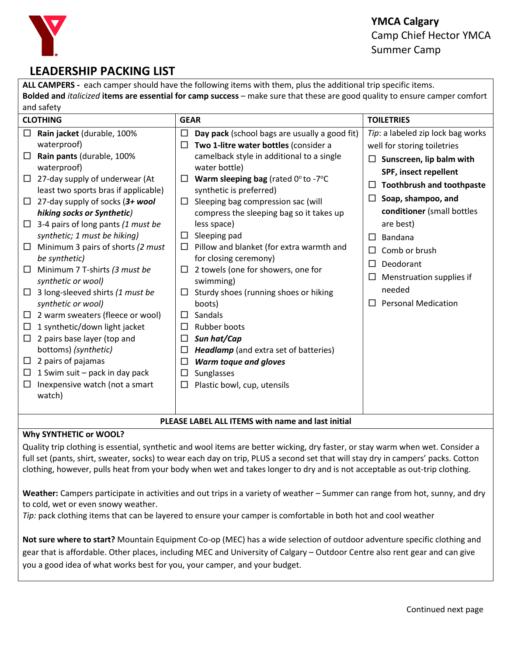

# **LEADERSHIP PACKING LIST**

**ALL CAMPERS -** each camper should have the following items with them, plus the additional trip specific items. **Bolded and** *italicized* **items are essential for camp success** – make sure that these are good quality to ensure camper comfort and safety

| <b>CLOTHING</b>                                                                                                                                                                                                                                                                                                                                                                                                                                                                                                                                                                                                                                                                                                                                                                                         | <b>GEAR</b>                                                                                                                                                                                                                                                                                                                                                                                                                                                                                                                                                                                                                                                                                                                                                                                  | <b>TOILETRIES</b>                                                                                                                                                                                                                                                                                                                                 |  |
|---------------------------------------------------------------------------------------------------------------------------------------------------------------------------------------------------------------------------------------------------------------------------------------------------------------------------------------------------------------------------------------------------------------------------------------------------------------------------------------------------------------------------------------------------------------------------------------------------------------------------------------------------------------------------------------------------------------------------------------------------------------------------------------------------------|----------------------------------------------------------------------------------------------------------------------------------------------------------------------------------------------------------------------------------------------------------------------------------------------------------------------------------------------------------------------------------------------------------------------------------------------------------------------------------------------------------------------------------------------------------------------------------------------------------------------------------------------------------------------------------------------------------------------------------------------------------------------------------------------|---------------------------------------------------------------------------------------------------------------------------------------------------------------------------------------------------------------------------------------------------------------------------------------------------------------------------------------------------|--|
| Rain jacket (durable, 100%<br>$\Box$<br>waterproof)<br>Rain pants (durable, 100%<br>□<br>waterproof)<br>27-day supply of underwear (At<br>□<br>least two sports bras if applicable)<br>27-day supply of socks (3+ wool<br>□<br>hiking socks or Synthetic)<br>3-4 pairs of long pants (1 must be<br>$\Box$<br>synthetic; 1 must be hiking)<br>Minimum 3 pairs of shorts (2 must<br>□<br>be synthetic)<br>Minimum 7 T-shirts (3 must be<br>□<br>synthetic or wool)<br>3 long-sleeved shirts (1 must be<br>□<br>synthetic or wool)<br>2 warm sweaters (fleece or wool)<br>□<br>1 synthetic/down light jacket<br>□<br>2 pairs base layer (top and<br>$\Box$<br>bottoms) (synthetic)<br>2 pairs of pajamas<br>$\Box$<br>1 Swim suit - pack in day pack<br>□<br>Inexpensive watch (not a smart<br>□<br>watch) | Day pack (school bags are usually a good fit)<br>□<br>Two 1-litre water bottles (consider a<br>□<br>camelback style in additional to a single<br>water bottle)<br>Warm sleeping bag (rated $0^\circ$ to -7 $^\circ$ C<br>⊔<br>synthetic is preferred)<br>Sleeping bag compression sac (will<br>□<br>compress the sleeping bag so it takes up<br>less space)<br>Sleeping pad<br>$\Box$<br>Pillow and blanket (for extra warmth and<br>□<br>for closing ceremony)<br>2 towels (one for showers, one for<br>□<br>swimming)<br>Sturdy shoes (running shoes or hiking<br>⊔<br>boots)<br>Sandals<br>$\Box$<br>Rubber boots<br>П<br>Sun hat/Cap<br>□<br><b>Headlamp</b> (and extra set of batteries)<br>□<br>$\Box$<br>Warm toque and gloves<br>Sunglasses<br>□<br>Plastic bowl, cup, utensils<br>□ | Tip: a labeled zip lock bag works<br>well for storing toiletries<br>Sunscreen, lip balm with<br>□<br>SPF, insect repellent<br><b>Toothbrush and toothpaste</b><br>Soap, shampoo, and<br>conditioner (small bottles<br>are best)<br>Bandana<br>Comb or brush<br>Deodorant<br>П<br>Menstruation supplies if<br>needed<br><b>Personal Medication</b> |  |
| PLEASE LABEL ALL ITEMS with name and last initial                                                                                                                                                                                                                                                                                                                                                                                                                                                                                                                                                                                                                                                                                                                                                       |                                                                                                                                                                                                                                                                                                                                                                                                                                                                                                                                                                                                                                                                                                                                                                                              |                                                                                                                                                                                                                                                                                                                                                   |  |

#### **Why SYNTHETIC or WOOL?**

Quality trip clothing is essential, synthetic and wool items are better wicking, dry faster, or stay warm when wet. Consider a full set (pants, shirt, sweater, socks) to wear each day on trip, PLUS a second set that will stay dry in campers' packs. Cotton clothing, however, pulls heat from your body when wet and takes longer to dry and is not acceptable as out-trip clothing.

**Weather:** Campers participate in activities and out trips in a variety of weather – Summer can range from hot, sunny, and dry to cold, wet or even snowy weather.

*Tip:* pack clothing items that can be layered to ensure your camper is comfortable in both hot and cool weather

**Not sure where to start?** Mountain Equipment Co-op (MEC) has a wide selection of outdoor adventure specific clothing and gear that is affordable. Other places, including MEC and University of Calgary – Outdoor Centre also rent gear and can give you a good idea of what works best for you, your camper, and your budget.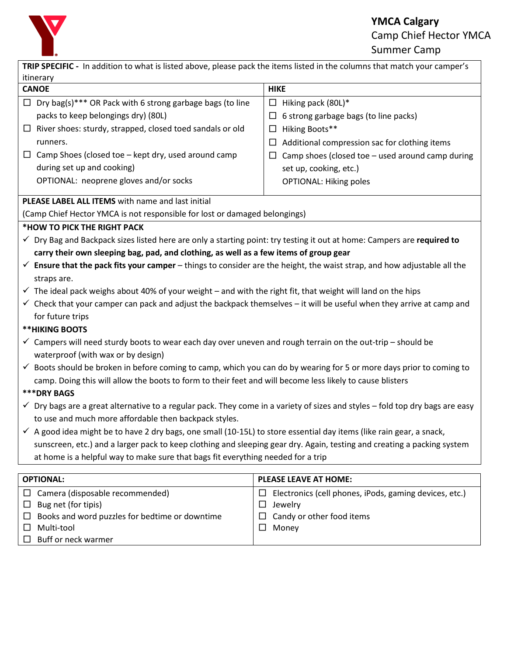

## **YMCA Calgary** Camp Chief Hector YMCA Summer Camp

| TRIP SPECIFIC - In addition to what is listed above, please pack the items listed in the columns that match your camper's                |                                                             |  |  |
|------------------------------------------------------------------------------------------------------------------------------------------|-------------------------------------------------------------|--|--|
| itinerary                                                                                                                                |                                                             |  |  |
| <b>CANOE</b>                                                                                                                             | <b>HIKE</b>                                                 |  |  |
| $\Box$ Dry bag(s)*** OR Pack with 6 strong garbage bags (to line                                                                         | $\Box$<br>Hiking pack (80L)*                                |  |  |
| packs to keep belongings dry) (80L)                                                                                                      | 6 strong garbage bags (to line packs)<br>$\Box$             |  |  |
| $\Box$ River shoes: sturdy, strapped, closed toed sandals or old                                                                         | Hiking Boots**<br>$\Box$                                    |  |  |
| runners.                                                                                                                                 | Additional compression sac for clothing items<br>$\Box$     |  |  |
| $\Box$ Camp Shoes (closed toe – kept dry, used around camp                                                                               | Camp shoes (closed toe - used around camp during<br>$\Box$  |  |  |
| during set up and cooking)                                                                                                               | set up, cooking, etc.)                                      |  |  |
| OPTIONAL: neoprene gloves and/or socks                                                                                                   | <b>OPTIONAL: Hiking poles</b>                               |  |  |
| PLEASE LABEL ALL ITEMS with name and last initial                                                                                        |                                                             |  |  |
| (Camp Chief Hector YMCA is not responsible for lost or damaged belongings)                                                               |                                                             |  |  |
| *HOW TO PICK THE RIGHT PACK                                                                                                              |                                                             |  |  |
| √ Dry Bag and Backpack sizes listed here are only a starting point: try testing it out at home: Campers are required to                  |                                                             |  |  |
| carry their own sleeping bag, pad, and clothing, as well as a few items of group gear                                                    |                                                             |  |  |
| $\checkmark$ Ensure that the pack fits your camper – things to consider are the height, the waist strap, and how adjustable all the      |                                                             |  |  |
| straps are.                                                                                                                              |                                                             |  |  |
| $\checkmark$ The ideal pack weighs about 40% of your weight – and with the right fit, that weight will land on the hips                  |                                                             |  |  |
| $\checkmark$ Check that your camper can pack and adjust the backpack themselves - it will be useful when they arrive at camp and         |                                                             |  |  |
| for future trips                                                                                                                         |                                                             |  |  |
| <b>**HIKING BOOTS</b>                                                                                                                    |                                                             |  |  |
| $\checkmark$ Campers will need sturdy boots to wear each day over uneven and rough terrain on the out-trip - should be                   |                                                             |  |  |
| waterproof (with wax or by design)                                                                                                       |                                                             |  |  |
| $\checkmark$ Boots should be broken in before coming to camp, which you can do by wearing for 5 or more days prior to coming to          |                                                             |  |  |
| camp. Doing this will allow the boots to form to their feet and will become less likely to cause blisters                                |                                                             |  |  |
| ***DRY BAGS                                                                                                                              |                                                             |  |  |
| $\checkmark$ Dry bags are a great alternative to a regular pack. They come in a variety of sizes and styles – fold top dry bags are easy |                                                             |  |  |
| to use and much more affordable then backpack styles.                                                                                    |                                                             |  |  |
| $\checkmark$ A good idea might be to have 2 dry bags, one small (10-15L) to store essential day items (like rain gear, a snack,          |                                                             |  |  |
| sunscreen, etc.) and a larger pack to keep clothing and sleeping gear dry. Again, testing and creating a packing system                  |                                                             |  |  |
| at home is a helpful way to make sure that bags fit everything needed for a trip                                                         |                                                             |  |  |
|                                                                                                                                          |                                                             |  |  |
| <b>OPTIONAL:</b>                                                                                                                         | <b>PLEASE LEAVE AT HOME:</b>                                |  |  |
| Camera (disposable recommended)<br>ப                                                                                                     | Electronics (cell phones, iPods, gaming devices, etc.)<br>ப |  |  |
| Bug net (for tipis)<br>ப                                                                                                                 | Jewelry<br>$\Box$                                           |  |  |
| Books and word puzzles for bedtime or downtime<br>ப                                                                                      | Candy or other food items                                   |  |  |

□ Money

□ Buff or neck warmer

□ Multi-tool